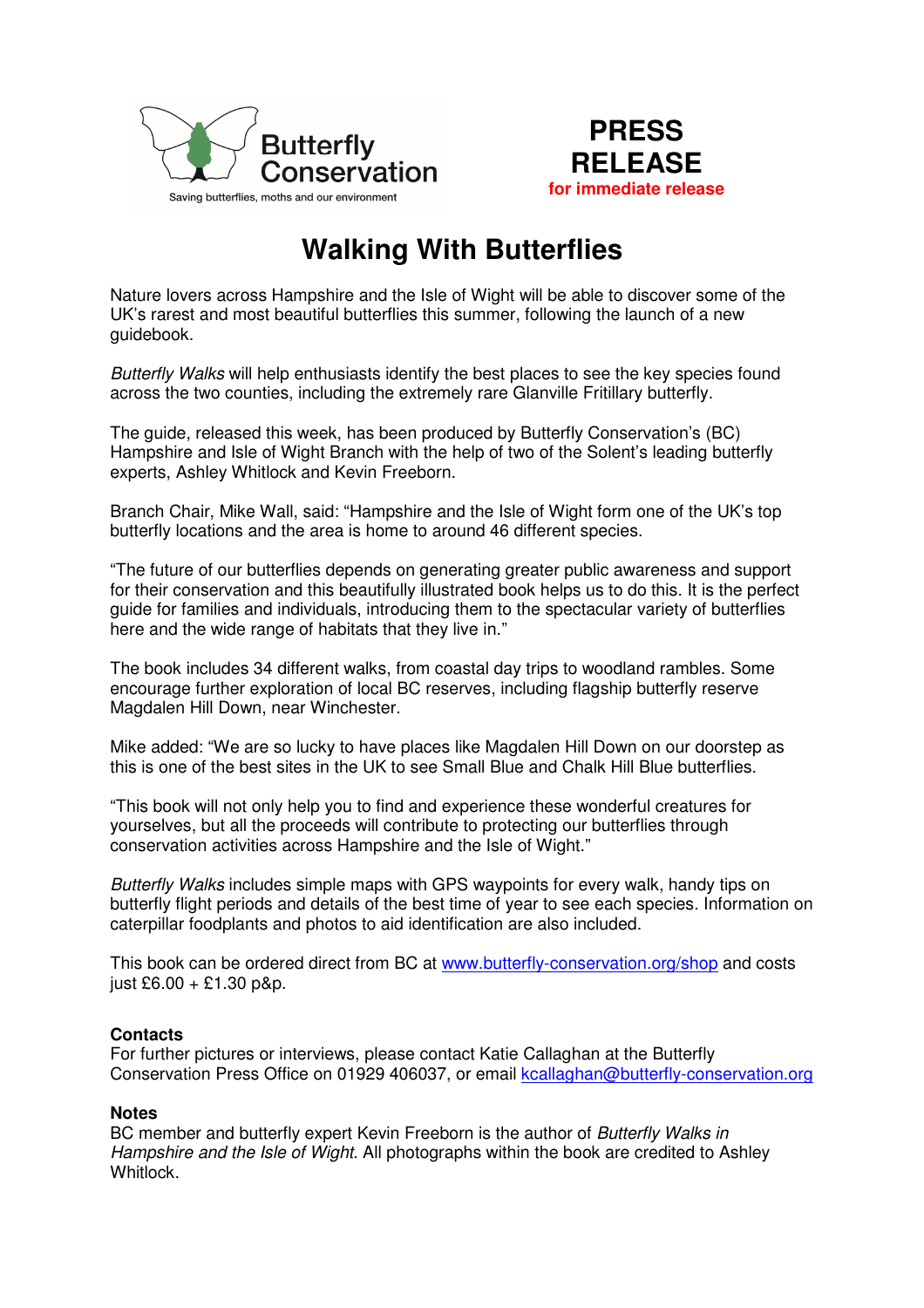



## **Walking With Butterflies**

Nature lovers across Hampshire and the Isle of Wight will be able to discover some of the UK's rarest and most beautiful butterflies this summer, following the launch of a new guidebook.

Butterfly Walks will help enthusiasts identify the best places to see the key species found across the two counties, including the extremely rare Glanville Fritillary butterfly.

The guide, released this week, has been produced by Butterfly Conservation's (BC) Hampshire and Isle of Wight Branch with the help of two of the Solent's leading butterfly experts, Ashley Whitlock and Kevin Freeborn.

Branch Chair, Mike Wall, said: "Hampshire and the Isle of Wight form one of the UK's top butterfly locations and the area is home to around 46 different species.

"The future of our butterflies depends on generating greater public awareness and support for their conservation and this beautifully illustrated book helps us to do this. It is the perfect guide for families and individuals, introducing them to the spectacular variety of butterflies here and the wide range of habitats that they live in."

The book includes 34 different walks, from coastal day trips to woodland rambles. Some encourage further exploration of local BC reserves, including flagship butterfly reserve Magdalen Hill Down, near Winchester.

Mike added: "We are so lucky to have places like Magdalen Hill Down on our doorstep as this is one of the best sites in the UK to see Small Blue and Chalk Hill Blue butterflies.

"This book will not only help you to find and experience these wonderful creatures for yourselves, but all the proceeds will contribute to protecting our butterflies through conservation activities across Hampshire and the Isle of Wight."

Butterfly Walks includes simple maps with GPS waypoints for every walk, handy tips on butterfly flight periods and details of the best time of year to see each species. Information on caterpillar foodplants and photos to aid identification are also included.

This book can be ordered direct from BC at www.butterfly-conservation.org/shop and costs just  $£6.00 + £1.30$  p&p.

## **Contacts**

For further pictures or interviews, please contact Katie Callaghan at the Butterfly Conservation Press Office on 01929 406037, or email kcallaghan@butterfly-conservation.org

## **Notes**

BC member and butterfly expert Kevin Freeborn is the author of Butterfly Walks in Hampshire and the Isle of Wight. All photographs within the book are credited to Ashley Whitlock.